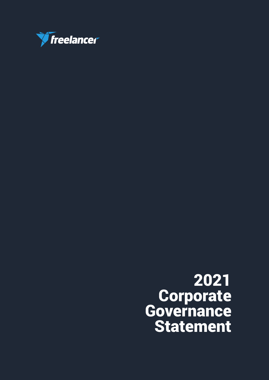

# 2021 **Corporate** Governance Statement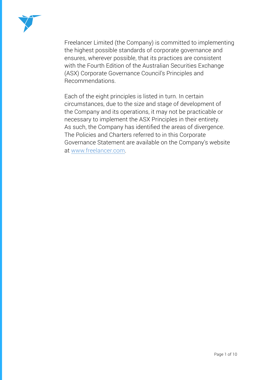

Freelancer Limited (the Company) is committed to implementing the highest possible standards of corporate governance and ensures, wherever possible, that its practices are consistent with the Fourth Edition of the Australian Securities Exchange (ASX) Corporate Governance Council's Principles and Recommendations.

Each of the eight principles is listed in turn. In certain circumstances, due to the size and stage of development of the Company and its operations, it may not be practicable or necessary to implement the ASX Principles in their entirety. As such, the Company has identified the areas of divergence. The Policies and Charters referred to in this Corporate Governance Statement are available on the Company's website at www.freelancer.com.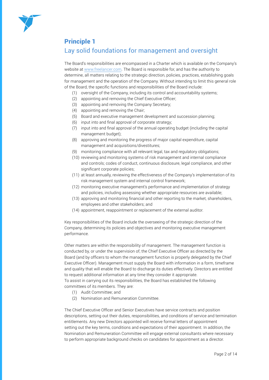

## Principle 1

# Lay solid foundations for management and oversight

The Board's responsibilities are encompassed in a Charter which is available on the Company's website at www.freelancer.com. The Board is responsible for, and has the authority to determine, all matters relating to the strategic direction, policies, practices, establishing goals for management and the operation of the Company. Without intending to limit this general role of the Board, the specific functions and responsibilities of the Board include:

- (1) oversight of the Company, including its control and accountability systems;
- (2) appointing and removing the Chief Executive Officer;
- (3) appointing and removing the Company Secretary;
- (4) appointing and removing the Chair;
- (5) Board and executive management development and succession planning;
- (6) input into and final approval of corporate strategy;
- (7) input into and final approval of the annual operating budget (including the capital management budget);
- (8) approving and monitoring the progress of major capital expenditure, capital management and acquisitions/divestitures;
- (9) monitoring compliance with all relevant legal, tax and regulatory obligations;
- (10) reviewing and monitoring systems of risk management and internal compliance and controls; codes of conduct, continuous disclosure, legal compliance, and other significant corporate policies;
- (11) at least annually, reviewing the effectiveness of the Company's implementation of its risk management system and internal control framework;
- (12) monitoring executive management's performance and implementation of strategy and policies, including assessing whether appropriate resources are available;
- (13) approving and monitoring financial and other reporting to the market, shareholders, employees and other stakeholders; and
- (14) appointment, reappointment or replacement of the external auditor.

Key responsibilities of the Board include the overseeing of the strategic direction of the Company, determining its policies and objectives and monitoring executive management performance.

Other matters are within the responsibility of management. The management function is conducted by, or under the supervision of, the Chief Executive Officer as directed by the Board (and by officers to whom the management function is properly delegated by the Chief Executive Officer). Management must supply the Board with information in a form, timeframe and quality that will enable the Board to discharge its duties effectively. Directors are entitled to request additional information at any time they consider it appropriate.

To assist in carrying out its responsibilities, the Board has established the following committees of its members. They are:

- (1) Audit Committee; and
- (2) Nomination and Remuneration Committee.

The Chief Executive Officer and Senior Executives have service contracts and position descriptions, setting out their duties, responsibilities, and conditions of service and termination entitlements. Any new Directors appointed will receive formal letters of appointment setting out the key terms, conditions and expectations of their appointment. In addition, the Nomination and Remuneration Committee will engage external consultants where necessary to perform appropriate background checks on candidates for appointment as a director.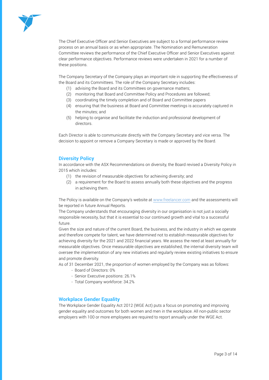

The Chief Executive Officer and Senior Executives are subject to a formal performance review process on an annual basis or as when appropriate. The Nomination and Remuneration Committee reviews the performance of the Chief Executive Officer and Senior Executives against clear performance objectives. Performance reviews were undertaken in 2021 for a number of these positions.

The Company Secretary of the Company plays an important role in supporting the effectiveness of the Board and its Committees. The role of the Company Secretary includes:

- (1) advising the Board and its Committees on governance matters;
- (2) monitoring that Board and Committee Policy and Procedures are followed;
- (3) coordinating the timely completion and of Board and Committee papers
- (4) ensuring that the business at Board and Committee meetings is accurately captured in the minutes; and
- (5) helping to organise and facilitate the induction and professional development of directors.

Each Director is able to communicate directly with the Company Secretary and vice versa. The decision to appoint or remove a Company Secretary is made or approved by the Board.

#### **Diversity Policy**

In accordance with the ASX Recommendations on diversity, the Board revised a Diversity Policy in 2015 which includes:

- (1) the revision of measurable objectives for achieving diversity; and
- (2) a requirement for the Board to assess annually both these objectives and the progress in achieving them.

The Policy is available on the Company's website at www.freelancer.com and the assessments will be reported in future Annual Reports.

The Company understands that encouraging diversity in our organisation is not just a socially responsible necessity, but that it is essential to our continued growth and vital to a successful future.

Given the size and nature of the current Board, the business, and the industry in which we operate and therefore compete for talent, we have determined not to establish measurable objectives for achieving diversity for the 2021 and 2022 financial years. We assess the need at least annually for measurable objectives. Once measurable objectives are established, the internal diversity team will oversee the implementation of any new initiatives and regularly review existing initiatives to ensure and promote diversity.

As of 31 December 2021, the proportion of women employed by the Company was as follows:

- Board of Directors: 0%
- Senior Executive positions: 26.1%
- Total Company workforce: 34.2%

#### **Workplace Gender Equality**

The Workplace Gender Equality Act 2012 (WGE Act) puts a focus on promoting and improving gender equality and outcomes for both women and men in the workplace. All non-public sector employers with 100 or more employees are required to report annually under the WGE Act.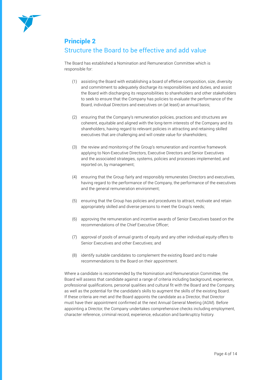

#### Principle 2

# Structure the Board to be effective and add value

The Board has established a Nomination and Remuneration Committee which is responsible for:

- (1) assisting the Board with establishing a board of effetive composition, size, diversity and commitment to adequately discharge its responsibilities and duties, and assist the Board with discharging its responsibilities to shareholders and other stakeholders to seek to ensure that the Company has policies to evaluate the performance of the Board, individual Directors and executives on (at least) an annual basis;
- (2) ensuring that the Company's remuneration policies, practices and structures are coherent, equitable and aligned with the long-term interests of the Company and its shareholders, having regard to relevant policies in attracting and retaining skilled executives that are challenging and will create value for shareholders;
- (3) the review and monitoring of the Group's remuneration and incentive framework applying to Non-Executive Directors, Executive Directors and Senior Executives and the associated strategies, systems, policies and processes implemented, and reported on, by management;
- (4) ensuring that the Group fairly and responsibly remunerates Directors and executives, having regard to the performance of the Company, the performance of the executives and the general remuneration environment;
- (5) ensuring that the Group has policies and procedures to attract, motivate and retain appropriately skilled and diverse persons to meet the Group's needs;
- (6) approving the remuneration and incentive awards of Senior Executives based on the recommendations of the Chief Executive Officer;
- (7) approval of pools of annual grants of equity and any other individual equity offers to Senior Executives and other Executives; and
- (8) identify suitable candidates to complement the existing Board and to make recommendations to the Board on their appointment.

Where a candidate is recommended by the Nomination and Remuneration Committee, the Board will assess that candidate against a range of criteria including background, experience, professional qualifications, personal qualities and cultural fit with the Board and the Company, as well as the potential for the candidate's skills to augment the skills of the existing Board. If these criteria are met and the Board appoints the candidate as a Director, that Director must have their appointment confirmed at the next Annual General Meeting (AGM). Before appointing a Director, the Company undertakes comprehensive checks including employment, character reference, criminal record, experience, education and bankruptcy history.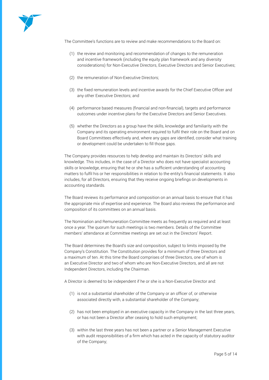

The Committee's functions are to review and make recommendations to the Board on:

- (1) the review and monitoring and recommendation of changes to the remuneration and incentive framework (including the equity plan framework and any diversity considerations) for Non-Executive Directors, Executive Directors and Senior Executives;
- (2) the remuneration of Non-Executive Directors;
- (3) the fixed remuneration levels and incentive awards for the Chief Executive Officer and any other Executive Directors; and
- (4) performance based measures (financial and non-financial), targets and performance outcomes under incentive plans for the Executive Directors and Senior Executives.
- (5) whether the Directors as a group have the skills, knowledge and familiarity with the Company and its operating environment required to fulfil their role on the Board and on Board Committees effectively and, where any gaps are identified, consider what training or development could be undertaken to fill those gaps.

The Company provides resources to help develop and maintain its Directors' skills and knowledge. This includes, in the case of a Director who does not have specialist accounting skills or knowledge, ensuring that he or she has a sufficient understanding of accounting matters to fulfil his or her responsibilities in relation to the entity's financial statements. It also includes, for all Directors, ensuring that they receive ongoing briefings on developments in accounting standards.

The Board reviews its performance and composition on an annual basis to ensure that it has the appropriate mix of expertise and experience. The Board also reviews the performance and composition of its committees on an annual basis.

The Nomination and Remuneration Committee meets as frequently as required and at least once a year. The quorum for such meetings is two members. Details of the Committee members' attendance at Committee meetings are set out in the Directors' Report.

The Board determines the Board's size and composition, subject to limits imposed by the Company's Constitution. The Constitution provides for a minimum of three Directors and a maximum of ten. At this time the Board comprises of three Directors, one of whom is an Executive Director and two of whom who are Non-Executive Directors, and all are not Independent Directors, including the Chairman.

A Director is deemed to be independent if he or she is a Non-Executive Director and:

- (1) is not a substantial shareholder of the Company or an officer of, or otherwise associated directly with, a substantial shareholder of the Company;
- (2) has not been employed in an executive capacity in the Company in the last three years, or has not been a Director after ceasing to hold such employment;
- (3) within the last three years has not been a partner or a Senior Management Executive with audit responsibilities of a firm which has acted in the capacity of statutory auditor of the Company;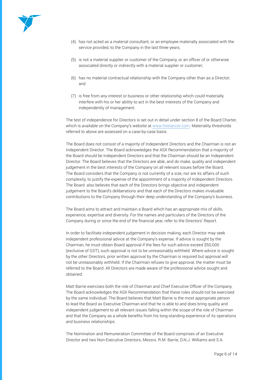

- (4) has not acted as a material consultant, or an employee materially associated with the service provided, to the Company in the last three years;
- (5) is not a material supplier or customer of the Company, or an officer of or otherwise associated directly or indirectly with a material supplier or customer;
- (6) has no material contractual relationship with the Company other than as a Director; and
- (7) is free from any interest or business or other relationship which could materially interfere with his or her ability to act in the best interests of the Company and independently of management.

The test of independence for Directors is set out in detail under section 8 of the Board Charter, which is available on the Company's website at www.freelancer.com. Materiality thresholds referred to above are assessed on a case-by-case basis.

The Board does not consist of a majority of Independent Directors and the Chairman is not an Independent Director. The Board acknowledges the ASX Recommendation that a majority of the Board should be Independent Directors and that the Chairman should be an Independent Director. The Board believes that the Directors are able, and do make, quality and independent judgement in the best interests of the Company on all relevant issues before the Board. The Board considers that the Company is not currently of a size, nor are its affairs of such complexity, to justify the expense of the appointment of a majority of Independent Directors. The Board also believes that each of the Directors brings objective and independent judgement to the Board's deliberations and that each of the Directors makes invaluable contributions to the Company through their deep understanding of the Company's business.

The Board aims to attract and maintain a Board which has an appropriate mix of skills, experience, expertise and diversity. For the names and particulars of the Directors of the Company during or since the end of the financial year, refer to the Directors' Report.

In order to facilitate independent judgement in decision making, each Director may seek independent professional advice at the Company's expense. If advice is sought by the Chairman, he must obtain Board approval if the fees for such advice exceed \$50,000 (exclusive of GST), such approval is not to be unreasonably withheld. Where advice is sought by the other Directors, prior written approval by the Chairman is required but approval will not be unreasonably withheld. If the Chairman refuses to give approval, the matter must be referred to the Board. All Directors are made aware of the professional advice sought and obtained.

Matt Barrie exercises both the role of Chairman and Chief Executive Officer of the Company. The Board acknowledges the ASX Recommendation that these roles should not be exercised by the same individual. The Board believes that Matt Barrie is the most appropriate person to lead the Board as Executive Chairman and that he is able to and does bring quality and independent judgement to all relevant issues falling within the scope of the role of Chairman and that the Company as a whole benefits from his long-standing experience of its operations and business relationships.

The Nomination and Remuneration Committee of the Board comprises of an Executive Director and two Non-Executive Directors, Messrs. R.M. Barrie, D.N.J. Williams and S.A.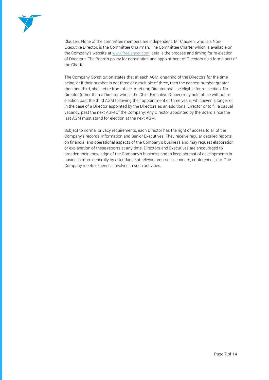

Clausen. None of the committee members are independent. Mr Clausen, who is a Non-Executive Director, is the Committee Chairman. The Committee Charter which is available on the Company's website at www.freelancer.com, details the process and timing for re-election of Directors. The Board's policy for nomination and appointment of Directors also forms part of the Charter.

The Company Constitution states that at each AGM, one-third of the Directors for the time being, or if their number is not three or a multiple of three, then the nearest number greater than one-third, shall retire from office. A retiring Director shall be eligible for re-election. No Director (other than a Director who is the Chief Executive Officer) may hold office without reelection past the third AGM following their appointment or three years, whichever is longer or, in the case of a Director appointed by the Directors as an additional Director or to fill a casual vacancy, past the next AGM of the Company. Any Director appointed by the Board since the last AGM must stand for election at the next AGM.

Subject to normal privacy requirements, each Director has the right of access to all of the Company's records, information and Senior Executives. They receive regular detailed reports on financial and operational aspects of the Company's business and may request elaboration or explanation of these reports at any time. Directors and Executives are encouraged to broaden their knowledge of the Company's business and to keep abreast of developments in business more generally by attendance at relevant courses, seminars, conferences, etc. The Company meets expenses involved in such activities.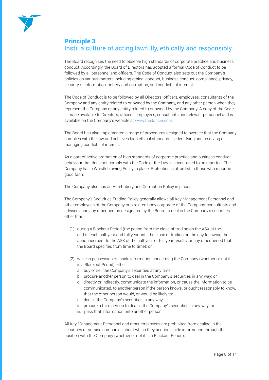

# Principle 3 Instil a culture of acting lawfully, ethically and responsibly

The Board recognises the need to observe high standards of corporate practice and business conduct. Accordingly, the Board of Directors has adopted a formal Code of Conduct to be followed by all personnel and officers. The Code of Conduct also sets out the Company's policies on various matters including ethical conduct, business conduct, compliance, privacy, security of information, bribery and corruption, and conflicts of interest.

The Code of Conduct is to be followed by all Directors, officers, employees, consultants of the Company and any entity related to or owned by the Company, and any other person when they represent the Company or any entity related to or owned by the Company. A copy of the Code is made available to Directors, officers, employees, consultants and relevant personnel and is available on the Company's website at www.freelancer.com.

The Board has also implemented a range of procedures designed to oversee that the Company complies with the law and achieves high ethical standards in identifying and resolving or managing conflicts of interest.

As a part of active promotion of high standards of corporate practice and business conduct, behaviour that does not comply with the Code or the Law is encouraged to be reported. The Company has a Whistleblowing Policy in place. Protection is afforded to those who report in good faith.

The Company also has an Anti-bribery and Corruption Policy in place.

The Company's Securities Trading Policy generally allows all Key Management Personnel and other employees of the Company or a related body corporate of the Company, consultants and advisers, and any other person designated by the Board to deal in the Company's securities other than:

- (1) during a Blackout Period (the period from the close of trading on the ASX at the end of each half year and full year until the close of trading on the day following the announcement to the ASX of the half year or full year results, or any other period that the Board specifies from time to time); or
- (2) while in possession of inside information concerning the Company (whether or not it is a Blackout Period) either:
	- a. buy or sell the Company's securities at any time;
	- b. procure another person to deal in the Company's securities in any way; or
	- c. directly or indirectly, communicate the information, or cause the information to be communicated, to another person if the person knows, or ought reasonably to know, that the other person would, or would be likely to:
	- i. deal in the Company's securities in any way;
	- ii. procure a third person to deal in the Company's securities in any way; or
	- iii. pass that information onto another person.

All Key Management Personnel and other employees are prohibited from dealing in the securities of outside companies about which they acquire inside information through their position with the Company (whether or not it is a Blackout Period).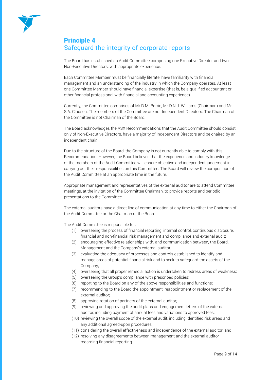

## Principle 4 Safeguard the integrity of corporate reports

The Board has established an Audit Committee comprising one Executive Director and two Non-Executive Directors, with appropriate experience.

Each Committee Member must be financially literate, have familiarity with financial management and an understanding of the industry in which the Company operates. At least one Committee Member should have financial expertise (that is, be a qualified accountant or other financial professional with financial and accounting experience).

Currently, the Committee comprises of Mr R.M. Barrie, Mr D.N.J. Williams (Chairman) and Mr S.A. Clausen. The members of the Committee are not Independent Directors. The Chairman of the Committee is not Chairman of the Board.

The Board acknowledges the ASX Recommendations that the Audit Committee should consist only of Non-Executive Directors, have a majority of Independent Directors and be chaired by an independent chair.

Due to the structure of the Board, the Company is not currently able to comply with this Recommendation. However, the Board believes that the experience and industry knowledge of the members of the Audit Committee will ensure objective and independent judgement in carrying out their responsibilities on this Committee. The Board will review the composition of the Audit Committee at an appropriate time in the future.

Appropriate management and representatives of the external auditor are to attend Committee meetings, at the invitation of the Committee Chairman, to provide reports and periodic presentations to the Committee.

The external auditors have a direct line of communication at any time to either the Chairman of the Audit Committee or the Chairman of the Board.

The Audit Committee is responsible for:

- (1) overseeing the process of financial reporting, internal control, continuous disclosure, financial and non-financial risk management and compliance and external audit;
- (2) encouraging effective relationships with, and communication between, the Board, Management and the Company's external auditor;
- (3) evaluating the adequacy of processes and controls established to identify and manage areas of potential financial risk and to seek to safeguard the assets of the Company;
- (4) overseeing that all proper remedial action is undertaken to redress areas of weakness;
- (5) overseeing the Group's compliance with prescribed policies;
- (6) reporting to the Board on any of the above responsibilities and functions;
- (7) recommending to the Board the appointment, reappointment or replacement of the external auditor;
- (8) approving rotation of partners of the external auditor;
- (9) reviewing and approving the audit plans and engagement letters of the external auditor, including payment of annual fees and variations to approved fees;
- (10) reviewing the overall scope of the external audit, including identified risk areas and any additional agreed-upon procedures;
- (11) considering the overall effectiveness and independence of the external auditor; and
- (12) resolving any disagreements between management and the external auditor regarding financial reporting.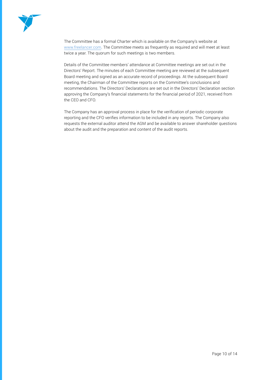

The Committee has a formal Charter which is available on the Company's website at www.freelancer.com. The Committee meets as frequently as required and will meet at least twice a year. The quorum for such meetings is two members.

Details of the Committee members' attendance at Committee meetings are set out in the Directors' Report. The minutes of each Committee meeting are reviewed at the subsequent Board meeting and signed as an accurate record of proceedings. At the subsequent Board meeting, the Chairman of the Committee reports on the Committee's conclusions and recommendations. The Directors' Declarations are set out in the Directors' Declaration section approving the Company's financial statements for the financial period of 2021, received from the CEO and CFO.

The Company has an approval process in place for the verification of periodic corporate reporting and the CFO verifies information to be included in any reports. The Company also requests the external auditor attend the AGM and be available to answer shareholder questions about the audit and the preparation and content of the audit reports.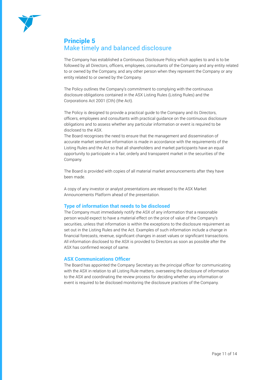

## Principle 5 Make timely and balanced disclosure

The Company has established a Continuous Disclosure Policy which applies to and is to be followed by all Directors, officers, employees, consultants of the Company and any entity related to or owned by the Company, and any other person when they represent the Company or any entity related to or owned by the Company.

The Policy outlines the Company's commitment to complying with the continuous disclosure obligations contained in the ASX Listing Rules (Listing Rules) and the Corporations Act 2001 (Cth) (the Act).

The Policy is designed to provide a practical guide to the Company and its Directors, officers, employees and consultants with practical guidance on the continuous disclosure obligations and to assess whether any particular information or event is required to be disclosed to the ASX.

The Board recognises the need to ensure that the management and dissemination of accurate market sensitive information is made in accordance with the requirements of the Listing Rules and the Act so that all shareholders and market participants have an equal opportunity to participate in a fair, orderly and transparent market in the securities of the Company.

The Board is provided with copies of all material market announcements after they have been made.

A copy of any investor or analyst presentations are released to the ASX Market Announcements Platform ahead of the presentation.

#### **Type of information that needs to be disclosed**

The Company must immediately notify the ASX of any information that a reasonable person would expect to have a material effect on the price of value of the Company's securities, unless that information is within the exceptions to the disclosure requirement as set out in the Listing Rules and the Act. Examples of such information include a change in financial forecasts, revenue, significant changes in asset values or significant transactions. All information disclosed to the ASX is provided to Directors as soon as possible after the ASX has confirmed receipt of same.

#### **ASX Communications Officer**

The Board has appointed the Company Secretary as the principal officer for communicating with the ASX in relation to all Listing Rule matters, overseeing the disclosure of information to the ASX and coordinating the review process for deciding whether any information or event is required to be disclosed monitoring the disclosure practices of the Company.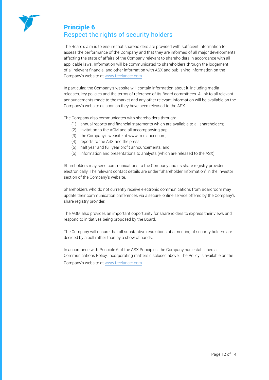

### Principle 6 Respect the rights of security holders

The Board's aim is to ensure that shareholders are provided with sufficient information to assess the performance of the Company and that they are informed of all major developments affecting the state of affairs of the Company relevant to shareholders in accordance with all applicable laws. Information will be communicated to shareholders through the lodgement of all relevant financial and other information with ASX and publishing information on the Company's website at www.freelancer.com.

In particular, the Company's website will contain information about it, including media releases, key policies and the terms of reference of its Board committees. A link to all relevant announcements made to the market and any other relevant information will be available on the Company's website as soon as they have been released to the ASX.

The Company also communicates with shareholders through:

- (1) annual reports and financial statements which are available to all shareholders;
- (2) invitation to the AGM and all accompanying pap
- (3) the Company's website at www.freelancer.com;
- (4) reports to the ASX and the press;
- (5) half year and full year profit announcements; and
- (6) information and presentations to analysts (which are released to the ASX).

Shareholders may send communications to the Company and its share registry provider electronically. The relevant contact details are under "Shareholder Information" in the Investor section of the Company's website.

Shareholders who do not currently receive electronic communications from Boardroom may update their communication preferences via a secure, online service offered by the Company's share registry provider.

The AGM also provides an important opportunity for shareholders to express their views and respond to initiatives being proposed by the Board.

The Company will ensure that all substantive resolutions at a meeting of security holders are decided by a poll rather than by a show of hands.

In accordance with Principle 6 of the ASX Principles, the Company has established a Communications Policy, incorporating matters disclosed above. The Policy is available on the Company's website at www.freelancer.com.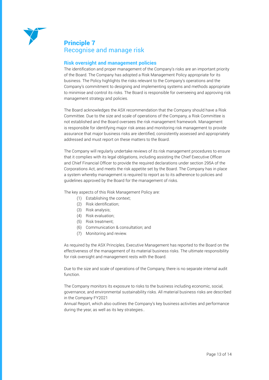

#### Principle 7 Recognise and manage risk

#### **Risk oversight and management policies**

The identification and proper management of the Company's risks are an important priority of the Board. The Company has adopted a Risk Management Policy appropriate for its business. The Policy highlights the risks relevant to the Company's operations and the Company's commitment to designing and implementing systems and methods appropriate to minimise and control its risks. The Board is responsible for overseeing and approving risk management strategy and policies.

The Board acknowledges the ASX recommendation that the Company should have a Risk Committee. Due to the size and scale of operations of the Company, a Risk Committee is not established and the Board oversees the risk management framework. Management is responsible for identifying major risk areas and monitoring risk management to provide assurance that major business risks are identified, consistently assessed and appropriately addressed and must report on these matters to the Board.

The Company will regularly undertake reviews of its risk management procedures to ensure that it complies with its legal obligations, including assisting the Chief Executive Officer and Chief Financial Officer to provide the required declarations under section 295A of the Corporations Act, and meets the risk appetite set by the Board. The Company has in place a system whereby management is required to report as to its adherence to policies and guidelines approved by the Board for the management of risks.

The key aspects of this Risk Management Policy are:

- (1) Establishing the context;
- (2) Risk identification;
- (3) Risk analysis;
- (4) Risk evaluation;
- (5) Risk treatment;
- (6) Communication & consultation; and
- (7) Monitoring and review.

As required by the ASX Principles, Executive Management has reported to the Board on the effectiveness of the management of its material business risks. The ultimate responsibility for risk oversight and management rests with the Board.

Due to the size and scale of operations of the Company, there is no separate internal audit function.

The Company monitors its exposure to risks to the business including economic, social, governance, and environmental sustainability risks. All material business risks are described in the Company FY2021

Annual Report, which also outlines the Company's key business activities and performance during the year, as well as its key strategies..